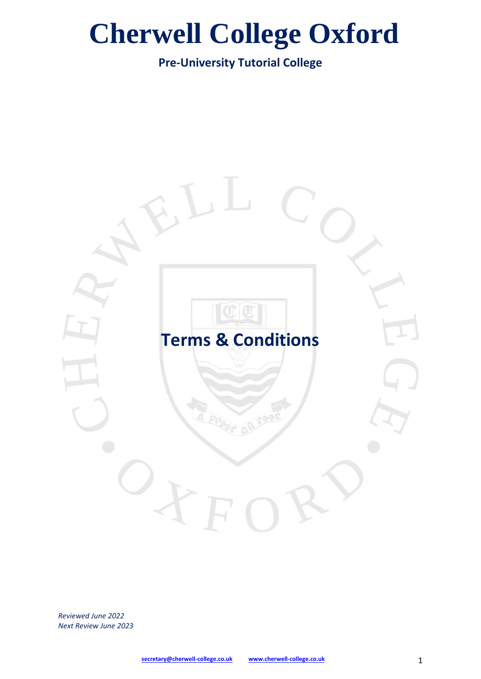**Pre-University Tutorial College**



*Reviewed June 2022 Next Review June 2023*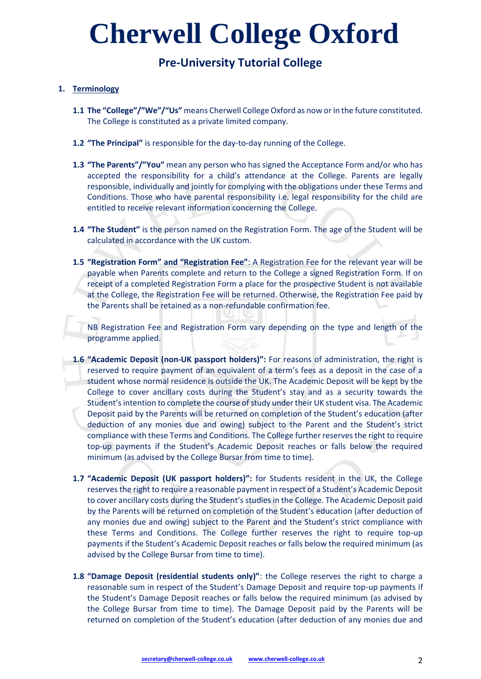## **Pre-University Tutorial College**

#### **1. Terminology**

- **1.1 The "College"/"We"/"Us"** means Cherwell College Oxford as now or in the future constituted. The College is constituted as a private limited company.
- **1.2 "The Principal"** is responsible for the day-to-day running of the College.
- **1.3 "The Parents"/"You"** mean any person who has signed the Acceptance Form and/or who has accepted the responsibility for a child's attendance at the College. Parents are legally responsible, individually and jointly for complying with the obligations under these Terms and Conditions. Those who have parental responsibility i.e. legal responsibility for the child are entitled to receive relevant information concerning the College.
- **1.4 "The Student"** is the person named on the Registration Form. The age of the Student will be calculated in accordance with the UK custom.
- **1.5 "Registration Form" and "Registration Fee"**: A Registration Fee for the relevant year will be payable when Parents complete and return to the College a signed Registration Form. If on receipt of a completed Registration Form a place for the prospective Student is not available at the College, the Registration Fee will be returned. Otherwise, the Registration Fee paid by the Parents shall be retained as a non-refundable confirmation fee.

NB Registration Fee and Registration Form vary depending on the type and length of the programme applied.

- **1.6 "Academic Deposit (non-UK passport holders)":** For reasons of administration, the right is reserved to require payment of an equivalent of a term's fees as a deposit in the case of a student whose normal residence is outside the UK. The Academic Deposit will be kept by the College to cover ancillary costs during the Student's stay and as a security towards the Student's intention to complete the course of study under their UK student visa. The Academic Deposit paid by the Parents will be returned on completion of the Student's education (after deduction of any monies due and owing) subject to the Parent and the Student's strict compliance with these Terms and Conditions. The College further reserves the right to require top-up payments if the Student's Academic Deposit reaches or falls below the required minimum (as advised by the College Bursar from time to time).
- **1.7 "Academic Deposit (UK passport holders)":** for Students resident in the UK, the College reserves the right to require a reasonable payment in respect of a Student's Academic Deposit to cover ancillary costs during the Student's studies in the College. The Academic Deposit paid by the Parents will be returned on completion of the Student's education (after deduction of any monies due and owing) subject to the Parent and the Student's strict compliance with these Terms and Conditions. The College further reserves the right to require top-up payments if the Student's Academic Deposit reaches or falls below the required minimum (as advised by the College Bursar from time to time).
- **1.8 "Damage Deposit (residential students only)"**: the College reserves the right to charge a reasonable sum in respect of the Student's Damage Deposit and require top-up payments if the Student's Damage Deposit reaches or falls below the required minimum (as advised by the College Bursar from time to time). The Damage Deposit paid by the Parents will be returned on completion of the Student's education (after deduction of any monies due and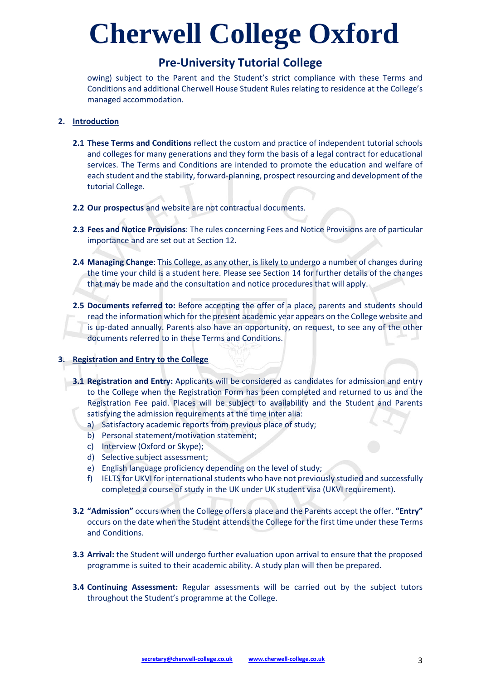### **Pre-University Tutorial College**

owing) subject to the Parent and the Student's strict compliance with these Terms and Conditions and additional Cherwell House Student Rules relating to residence at the College's managed accommodation.

#### **2. Introduction**

- **2.1 These Terms and Conditions** reflect the custom and practice of independent tutorial schools and colleges for many generations and they form the basis of a legal contract for educational services. The Terms and Conditions are intended to promote the education and welfare of each student and the stability, forward-planning, prospect resourcing and development of the tutorial College.
- **2.2 Our prospectus** and website are not contractual documents.
- **2.3 Fees and Notice Provisions**: The rules concerning Fees and Notice Provisions are of particular importance and are set out at Section 12.
- **2.4 Managing Change**: This College, as any other, is likely to undergo a number of changes during the time your child is a student here. Please see Section 14 for further details of the changes that may be made and the consultation and notice procedures that will apply.
- **2.5 Documents referred to:** Before accepting the offer of a place, parents and students should read the information which for the present academic year appears on the College website and is up-dated annually. Parents also have an opportunity, on request, to see any of the other documents referred to in these Terms and Conditions.

#### **3. Registration and Entry to the College**

- **3.1 Registration and Entry:** Applicants will be considered as candidates for admission and entry to the College when the Registration Form has been completed and returned to us and the Registration Fee paid. Places will be subject to availability and the Student and Parents satisfying the admission requirements at the time inter alia:
	- a) Satisfactory academic reports from previous place of study;
	- b) Personal statement/motivation statement;
	- c) Interview (Oxford or Skype);
	- d) Selective subject assessment;
	- e) English language proficiency depending on the level of study;
	- f) IELTS for UKVI for international students who have not previously studied and successfully completed a course of study in the UK under UK student visa (UKVI requirement).
- **3.2 "Admission"** occurs when the College offers a place and the Parents accept the offer. **"Entry"** occurs on the date when the Student attends the College for the first time under these Terms and Conditions.
- **3.3 Arrival:** the Student will undergo further evaluation upon arrival to ensure that the proposed programme is suited to their academic ability. A study plan will then be prepared.
- **3.4 Continuing Assessment:** Regular assessments will be carried out by the subject tutors throughout the Student's programme at the College.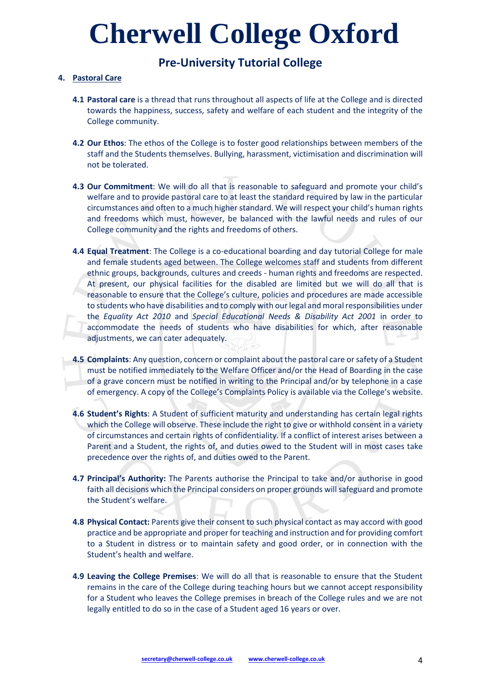### **Pre-University Tutorial College**

#### **4. Pastoral Care**

- **4.1 Pastoral care** is a thread that runs throughout all aspects of life at the College and is directed towards the happiness, success, safety and welfare of each student and the integrity of the College community.
- **4.2 Our Ethos**: The ethos of the College is to foster good relationships between members of the staff and the Students themselves. Bullying, harassment, victimisation and discrimination will not be tolerated.
- **4.3 Our Commitment**: We will do all that is reasonable to safeguard and promote your child's welfare and to provide pastoral care to at least the standard required by law in the particular circumstances and often to a much higher standard. We will respect your child's human rights and freedoms which must, however, be balanced with the lawful needs and rules of our College community and the rights and freedoms of others.
- **4.4 Equal Treatment**: The College is a co-educational boarding and day tutorial College for male and female students aged between. The College welcomes staff and students from different ethnic groups, backgrounds, cultures and creeds - human rights and freedoms are respected. At present, our physical facilities for the disabled are limited but we will do all that is reasonable to ensure that the College's culture, policies and procedures are made accessible to students who have disabilities and to comply with our legal and moral responsibilities under the *Equality Act 2010* and *Special Educational Needs & Disability Act 2001* in order to accommodate the needs of students who have disabilities for which, after reasonable adjustments, we can cater adequately.
- **4.5 Complaints**: Any question, concern or complaint about the pastoral care or safety of a Student must be notified immediately to the Welfare Officer and/or the Head of Boarding in the case of a grave concern must be notified in writing to the Principal and/or by telephone in a case of emergency. A copy of the College's Complaints Policy is available via the College's website.
- **4.6 Student's Rights**: A Student of sufficient maturity and understanding has certain legal rights which the College will observe. These include the right to give or withhold consent in a variety of circumstances and certain rights of confidentiality. If a conflict of interest arises between a Parent and a Student, the rights of, and duties owed to the Student will in most cases take precedence over the rights of, and duties owed to the Parent.
- **4.7 Principal's Authority:** The Parents authorise the Principal to take and/or authorise in good faith all decisions which the Principal considers on proper grounds will safeguard and promote the Student's welfare.
- **4.8 Physical Contact:** Parents give their consent to such physical contact as may accord with good practice and be appropriate and proper for teaching and instruction and for providing comfort to a Student in distress or to maintain safety and good order, or in connection with the Student's health and welfare.
- **4.9 Leaving the College Premises**: We will do all that is reasonable to ensure that the Student remains in the care of the College during teaching hours but we cannot accept responsibility for a Student who leaves the College premises in breach of the College rules and we are not legally entitled to do so in the case of a Student aged 16 years or over.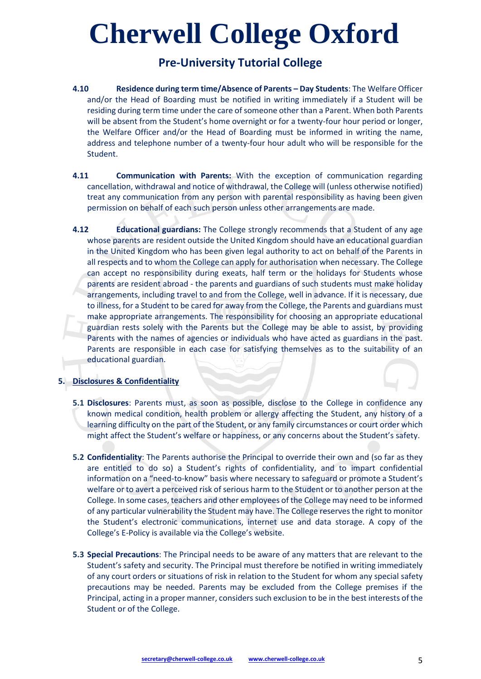## **Pre-University Tutorial College**

- **4.10 Residence during term time/Absence of Parents – Day Students**: The Welfare Officer and/or the Head of Boarding must be notified in writing immediately if a Student will be residing during term time under the care of someone other than a Parent. When both Parents will be absent from the Student's home overnight or for a twenty-four hour period or longer, the Welfare Officer and/or the Head of Boarding must be informed in writing the name, address and telephone number of a twenty-four hour adult who will be responsible for the Student.
- **4.11 Communication with Parents:** With the exception of communication regarding cancellation, withdrawal and notice of withdrawal, the College will (unless otherwise notified) treat any communication from any person with parental responsibility as having been given permission on behalf of each such person unless other arrangements are made.
- **4.12 Educational guardians:** The College strongly recommends that a Student of any age whose parents are resident outside the United Kingdom should have an educational guardian in the United Kingdom who has been given legal authority to act on behalf of the Parents in all respects and to whom the College can apply for authorisation when necessary. The College can accept no responsibility during exeats, half term or the holidays for Students whose parents are resident abroad - the parents and guardians of such students must make holiday arrangements, including travel to and from the College, well in advance. If it is necessary, due to illness, for a Student to be cared for away from the College, the Parents and guardians must make appropriate arrangements. The responsibility for choosing an appropriate educational guardian rests solely with the Parents but the College may be able to assist, by providing Parents with the names of agencies or individuals who have acted as guardians in the past. Parents are responsible in each case for satisfying themselves as to the suitability of an educational guardian.

#### **5. Disclosures & Confidentiality**

- **5.1 Disclosures**: Parents must, as soon as possible, disclose to the College in confidence any known medical condition, health problem or allergy affecting the Student, any history of a learning difficulty on the part of the Student, or any family circumstances or court order which might affect the Student's welfare or happiness, or any concerns about the Student's safety.
- **5.2 Confidentiality**: The Parents authorise the Principal to override their own and (so far as they are entitled to do so) a Student's rights of confidentiality, and to impart confidential information on a "need-to-know" basis where necessary to safeguard or promote a Student's welfare or to avert a perceived risk of serious harm to the Student or to another person at the College. In some cases, teachers and other employees of the College may need to be informed of any particular vulnerability the Student may have. The College reserves the right to monitor the Student's electronic communications, internet use and data storage. A copy of the College's E-Policy is available via the College's website.
- **5.3 Special Precautions**: The Principal needs to be aware of any matters that are relevant to the Student's safety and security. The Principal must therefore be notified in writing immediately of any court orders or situations of risk in relation to the Student for whom any special safety precautions may be needed. Parents may be excluded from the College premises if the Principal, acting in a proper manner, considers such exclusion to be in the best interests of the Student or of the College.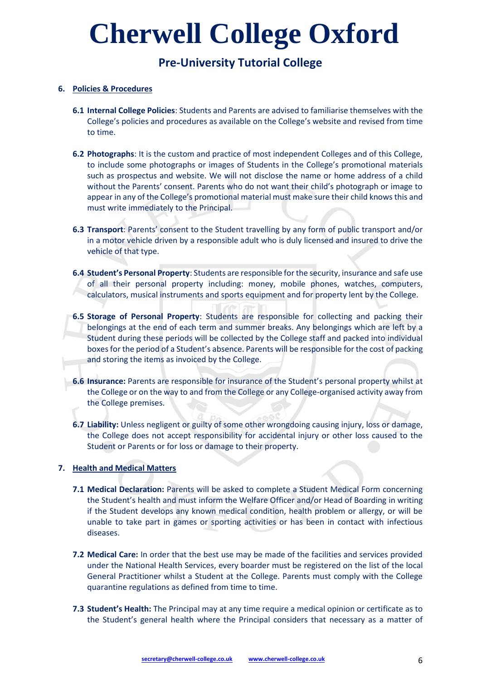## **Pre-University Tutorial College**

#### **6. Policies & Procedures**

- **6.1 Internal College Policies**: Students and Parents are advised to familiarise themselves with the College's policies and procedures as available on the College's website and revised from time to time.
- **6.2 Photographs**: It is the custom and practice of most independent Colleges and of this College, to include some photographs or images of Students in the College's promotional materials such as prospectus and website. We will not disclose the name or home address of a child without the Parents' consent. Parents who do not want their child's photograph or image to appear in any of the College's promotional material must make sure their child knows this and must write immediately to the Principal.
- **6.3 Transport**: Parents' consent to the Student travelling by any form of public transport and/or in a motor vehicle driven by a responsible adult who is duly licensed and insured to drive the vehicle of that type.
- **6.4 Student's Personal Property**: Students are responsible for the security, insurance and safe use of all their personal property including: money, mobile phones, watches, computers, calculators, musical instruments and sports equipment and for property lent by the College.
- **6.5 Storage of Personal Property**: Students are responsible for collecting and packing their belongings at the end of each term and summer breaks. Any belongings which are left by a Student during these periods will be collected by the College staff and packed into individual boxes for the period of a Student's absence. Parents will be responsible for the cost of packing and storing the items as invoiced by the College.
- **6.6 Insurance:** Parents are responsible for insurance of the Student's personal property whilst at the College or on the way to and from the College or any College-organised activity away from the College premises.
- **6.7 Liability:** Unless negligent or guilty of some other wrongdoing causing injury, loss or damage, the College does not accept responsibility for accidental injury or other loss caused to the Student or Parents or for loss or damage to their property.

#### **7. Health and Medical Matters**

- **7.1 Medical Declaration:** Parents will be asked to complete a Student Medical Form concerning the Student's health and must inform the Welfare Officer and/or Head of Boarding in writing if the Student develops any known medical condition, health problem or allergy, or will be unable to take part in games or sporting activities or has been in contact with infectious diseases.
- **7.2 Medical Care:** In order that the best use may be made of the facilities and services provided under the National Health Services, every boarder must be registered on the list of the local General Practitioner whilst a Student at the College. Parents must comply with the College quarantine regulations as defined from time to time.
- **7.3 Student's Health:** The Principal may at any time require a medical opinion or certificate as to the Student's general health where the Principal considers that necessary as a matter of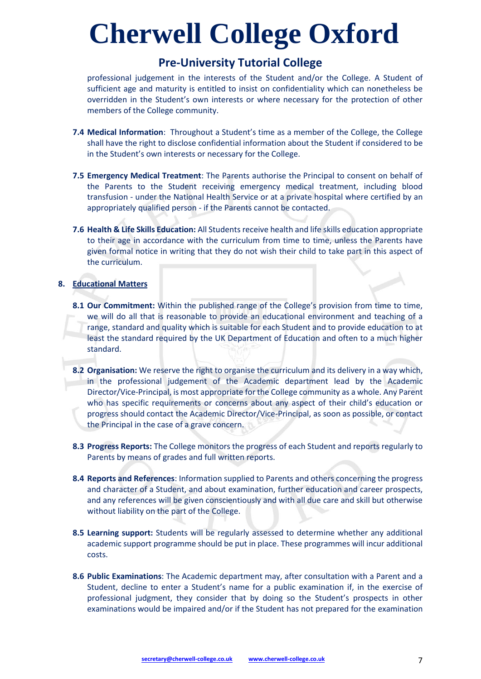### **Pre-University Tutorial College**

professional judgement in the interests of the Student and/or the College. A Student of sufficient age and maturity is entitled to insist on confidentiality which can nonetheless be overridden in the Student's own interests or where necessary for the protection of other members of the College community.

- **7.4 Medical Information**: Throughout a Student's time as a member of the College, the College shall have the right to disclose confidential information about the Student if considered to be in the Student's own interests or necessary for the College.
- **7.5 Emergency Medical Treatment**: The Parents authorise the Principal to consent on behalf of the Parents to the Student receiving emergency medical treatment, including blood transfusion - under the National Health Service or at a private hospital where certified by an appropriately qualified person - if the Parents cannot be contacted.
- **7.6 Health & Life Skills Education:** All Students receive health and life skills education appropriate to their age in accordance with the curriculum from time to time, unless the Parents have given formal notice in writing that they do not wish their child to take part in this aspect of the curriculum.

#### **8. Educational Matters**

- **8.1 Our Commitment:** Within the published range of the College's provision from time to time, we will do all that is reasonable to provide an educational environment and teaching of a range, standard and quality which is suitable for each Student and to provide education to at least the standard required by the UK Department of Education and often to a much higher standard.
- **8.2 Organisation:** We reserve the right to organise the curriculum and its delivery in a way which, in the professional judgement of the Academic department lead by the Academic Director/Vice-Principal, is most appropriate for the College community as a whole. Any Parent who has specific requirements or concerns about any aspect of their child's education or progress should contact the Academic Director/Vice-Principal, as soon as possible, or contact the Principal in the case of a grave concern.
- **8.3 Progress Reports:** The College monitors the progress of each Student and reports regularly to Parents by means of grades and full written reports.
- **8.4 Reports and References**: Information supplied to Parents and others concerning the progress and character of a Student, and about examination, further education and career prospects, and any references will be given conscientiously and with all due care and skill but otherwise without liability on the part of the College.
- **8.5 Learning support:** Students will be regularly assessed to determine whether any additional academic support programme should be put in place. These programmes will incur additional costs.
- **8.6 Public Examinations**: The Academic department may, after consultation with a Parent and a Student, decline to enter a Student's name for a public examination if, in the exercise of professional judgment, they consider that by doing so the Student's prospects in other examinations would be impaired and/or if the Student has not prepared for the examination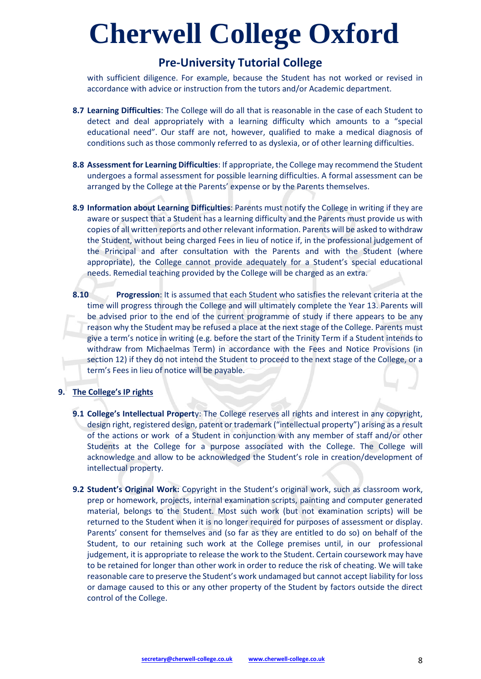### **Pre-University Tutorial College**

with sufficient diligence. For example, because the Student has not worked or revised in accordance with advice or instruction from the tutors and/or Academic department.

- **8.7 Learning Difficulties**: The College will do all that is reasonable in the case of each Student to detect and deal appropriately with a learning difficulty which amounts to a "special educational need". Our staff are not, however, qualified to make a medical diagnosis of conditions such as those commonly referred to as dyslexia, or of other learning difficulties.
- **8.8 Assessment for Learning Difficulties**: If appropriate, the College may recommend the Student undergoes a formal assessment for possible learning difficulties. A formal assessment can be arranged by the College at the Parents' expense or by the Parents themselves.
- **8.9 Information about Learning Difficulties**: Parents must notify the College in writing if they are aware or suspect that a Student has a learning difficulty and the Parents must provide us with copies of all written reports and other relevant information. Parents will be asked to withdraw the Student, without being charged Fees in lieu of notice if, in the professional judgement of the Principal and after consultation with the Parents and with the Student (where appropriate), the College cannot provide adequately for a Student's special educational needs. Remedial teaching provided by the College will be charged as an extra.
- **8.10 Progression**: It is assumed that each Student who satisfies the relevant criteria at the time will progress through the College and will ultimately complete the Year 13. Parents will be advised prior to the end of the current programme of study if there appears to be any reason why the Student may be refused a place at the next stage of the College. Parents must give a term's notice in writing (e.g. before the start of the Trinity Term if a Student intends to withdraw from Michaelmas Term) in accordance with the Fees and Notice Provisions (in section 12) if they do not intend the Student to proceed to the next stage of the College, or a term's Fees in lieu of notice will be payable.

#### **9. The College's IP rights**

- **9.1 College's Intellectual Propert**y: The College reserves all rights and interest in any copyright, design right, registered design, patent or trademark ("intellectual property") arising as a result of the actions or work of a Student in conjunction with any member of staff and/or other Students at the College for a purpose associated with the College. The College will acknowledge and allow to be acknowledged the Student's role in creation/development of intellectual property.
- **9.2 Student's Original Work:** Copyright in the Student's original work, such as classroom work, prep or homework, projects, internal examination scripts, painting and computer generated material, belongs to the Student. Most such work (but not examination scripts) will be returned to the Student when it is no longer required for purposes of assessment or display. Parents' consent for themselves and (so far as they are entitled to do so) on behalf of the Student, to our retaining such work at the College premises until, in our professional judgement, it is appropriate to release the work to the Student. Certain coursework may have to be retained for longer than other work in order to reduce the risk of cheating. We will take reasonable care to preserve the Student's work undamaged but cannot accept liability for loss or damage caused to this or any other property of the Student by factors outside the direct control of the College.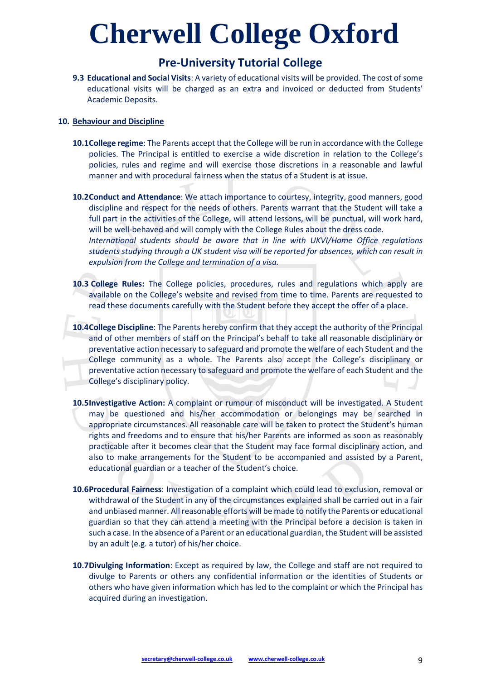### **Pre-University Tutorial College**

**9.3 Educational and Social Visits**: A variety of educational visits will be provided. The cost of some educational visits will be charged as an extra and invoiced or deducted from Students' Academic Deposits.

#### **10. Behaviour and Discipline**

- **10.1College regime**: The Parents accept that the College will be run in accordance with the College policies. The Principal is entitled to exercise a wide discretion in relation to the College's policies, rules and regime and will exercise those discretions in a reasonable and lawful manner and with procedural fairness when the status of a Student is at issue.
- **10.2Conduct and Attendance**: We attach importance to courtesy, integrity, good manners, good discipline and respect for the needs of others. Parents warrant that the Student will take a full part in the activities of the College, will attend lessons, will be punctual, will work hard, will be well-behaved and will comply with the College Rules about the dress code. *International students should be aware that in line with UKVI/Home Office regulations*

*students studying through a UK student visa will be reported for absences, which can result in expulsion from the College and termination of a visa.*

- **10.3 College Rules:** The College policies, procedures, rules and regulations which apply are available on the College's website and revised from time to time. Parents are requested to read these documents carefully with the Student before they accept the offer of a place.
- **10.4College Discipline**: The Parents hereby confirm that they accept the authority of the Principal and of other members of staff on the Principal's behalf to take all reasonable disciplinary or preventative action necessary to safeguard and promote the welfare of each Student and the College community as a whole. The Parents also accept the College's disciplinary or preventative action necessary to safeguard and promote the welfare of each Student and the College's disciplinary policy.
- **10.5Investigative Action:** A complaint or rumour of misconduct will be investigated. A Student may be questioned and his/her accommodation or belongings may be searched in appropriate circumstances. All reasonable care will be taken to protect the Student's human rights and freedoms and to ensure that his/her Parents are informed as soon as reasonably practicable after it becomes clear that the Student may face formal disciplinary action, and also to make arrangements for the Student to be accompanied and assisted by a Parent, educational guardian or a teacher of the Student's choice.
- **10.6Procedural Fairness**: Investigation of a complaint which could lead to exclusion, removal or withdrawal of the Student in any of the circumstances explained shall be carried out in a fair and unbiased manner. All reasonable efforts will be made to notify the Parents or educational guardian so that they can attend a meeting with the Principal before a decision is taken in such a case. In the absence of a Parent or an educational guardian, the Student will be assisted by an adult (e.g. a tutor) of his/her choice.
- **10.7Divulging Information**: Except as required by law, the College and staff are not required to divulge to Parents or others any confidential information or the identities of Students or others who have given information which has led to the complaint or which the Principal has acquired during an investigation.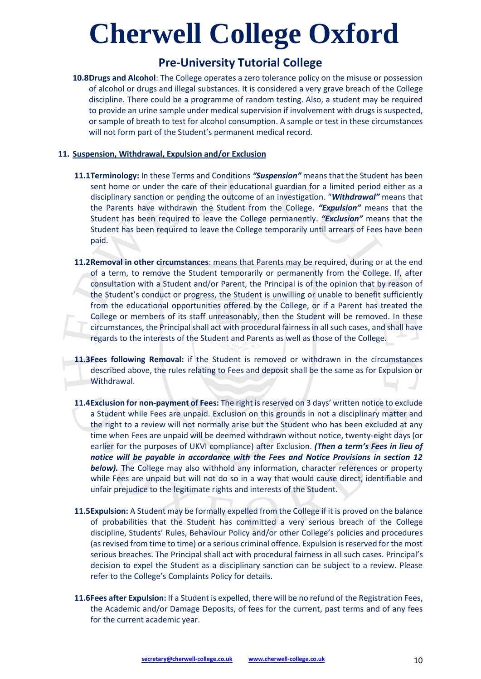### **Pre-University Tutorial College**

**10.8Drugs and Alcohol**: The College operates a zero tolerance policy on the misuse or possession of alcohol or drugs and illegal substances. It is considered a very grave breach of the College discipline. There could be a programme of random testing. Also, a student may be required to provide an urine sample under medical supervision if involvement with drugs is suspected, or sample of breath to test for alcohol consumption. A sample or test in these circumstances will not form part of the Student's permanent medical record.

#### **11. Suspension, Withdrawal, Expulsion and/or Exclusion**

- **11.1Terminology:** In these Terms and Conditions *"Suspension"* means that the Student has been sent home or under the care of their educational guardian for a limited period either as a disciplinary sanction or pending the outcome of an investigation. "*Withdrawal"* means that the Parents have withdrawn the Student from the College. *"Expulsion"* means that the Student has been required to leave the College permanently. *"Exclusion"* means that the Student has been required to leave the College temporarily until arrears of Fees have been paid.
- **11.2Removal in other circumstances**: means that Parents may be required, during or at the end of a term, to remove the Student temporarily or permanently from the College. If, after consultation with a Student and/or Parent, the Principal is of the opinion that by reason of the Student's conduct or progress, the Student is unwilling or unable to benefit sufficiently from the educational opportunities offered by the College, or if a Parent has treated the College or members of its staff unreasonably, then the Student will be removed. In these circumstances, the Principal shall act with procedural fairness in all such cases, and shall have regards to the interests of the Student and Parents as well as those of the College.
- **11.3Fees following Removal:** if the Student is removed or withdrawn in the circumstances described above, the rules relating to Fees and deposit shall be the same as for Expulsion or Withdrawal.
- **11.4Exclusion for non-payment of Fees:** The right is reserved on 3 days' written notice to exclude a Student while Fees are unpaid. Exclusion on this grounds in not a disciplinary matter and the right to a review will not normally arise but the Student who has been excluded at any time when Fees are unpaid will be deemed withdrawn without notice, twenty-eight days (or earlier for the purposes of UKVI compliance) after Exclusion. *(Then a term's Fees in lieu of notice will be payable in accordance with the Fees and Notice Provisions in section 12 below)*. The College may also withhold any information, character references or property while Fees are unpaid but will not do so in a way that would cause direct, identifiable and unfair prejudice to the legitimate rights and interests of the Student.
- **11.5Expulsion:** A Student may be formally expelled from the College if it is proved on the balance of probabilities that the Student has committed a very serious breach of the College discipline, Students' Rules, Behaviour Policy and/or other College's policies and procedures (as revised from time to time) or a serious criminal offence. Expulsion is reserved for the most serious breaches. The Principal shall act with procedural fairness in all such cases. Principal's decision to expel the Student as a disciplinary sanction can be subject to a review. Please refer to the College's Complaints Policy for details.
- **11.6Fees after Expulsion:** If a Student is expelled, there will be no refund of the Registration Fees, the Academic and/or Damage Deposits, of fees for the current, past terms and of any fees for the current academic year.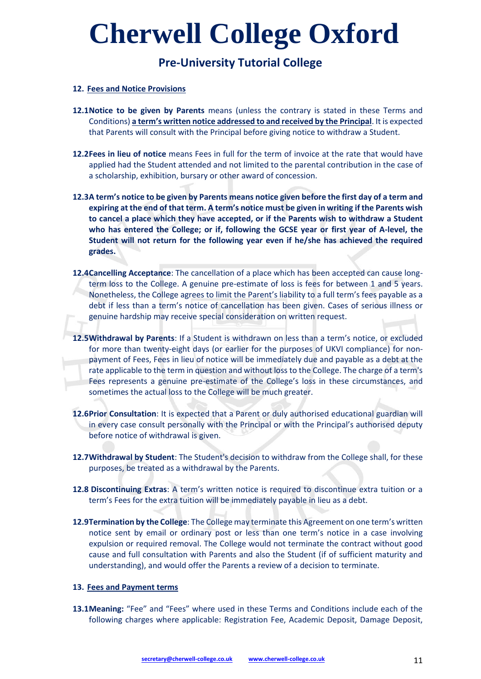## **Pre-University Tutorial College**

#### **12. Fees and Notice Provisions**

- **12.1Notice to be given by Parents** means (unless the contrary is stated in these Terms and Conditions) **a term's written notice addressed to and received by the Principal**. It is expected that Parents will consult with the Principal before giving notice to withdraw a Student.
- **12.2Fees in lieu of notice** means Fees in full for the term of invoice at the rate that would have applied had the Student attended and not limited to the parental contribution in the case of a scholarship, exhibition, bursary or other award of concession.
- **12.3A term's notice to be given by Parents means notice given before the first day of a term and expiring at the end of that term. A term's notice must be given in writing if the Parents wish to cancel a place which they have accepted, or if the Parents wish to withdraw a Student who has entered the College; or if, following the GCSE year or first year of A-level, the Student will not return for the following year even if he/she has achieved the required grades.**
- **12.4Cancelling Acceptance**: The cancellation of a place which has been accepted can cause longterm loss to the College. A genuine pre-estimate of loss is fees for between 1 and 5 years. Nonetheless, the College agrees to limit the Parent's liability to a full term's fees payable as a debt if less than a term's notice of cancellation has been given. Cases of serious illness or genuine hardship may receive special consideration on written request.
- **12.5Withdrawal by Parents**: If a Student is withdrawn on less than a term's notice, or excluded for more than twenty-eight days (or earlier for the purposes of UKVI compliance) for nonpayment of Fees, Fees in lieu of notice will be immediately due and payable as a debt at the rate applicable to the term in question and without loss to the College. The charge of a term's Fees represents a genuine pre-estimate of the College's loss in these circumstances, and sometimes the actual loss to the College will be much greater.
- **12.6Prior Consultation**: It is expected that a Parent or duly authorised educational guardian will in every case consult personally with the Principal or with the Principal's authorised deputy before notice of withdrawal is given.
- **12.7Withdrawal by Student**: The Student's decision to withdraw from the College shall, for these purposes, be treated as a withdrawal by the Parents.
- **12.8 Discontinuing Extras**: A term's written notice is required to discontinue extra tuition or a term's Fees for the extra tuition will be immediately payable in lieu as a debt.
- **12.9Termination by the College**: The College may terminate this Agreement on one term's written notice sent by email or ordinary post or less than one term's notice in a case involving expulsion or required removal. The College would not terminate the contract without good cause and full consultation with Parents and also the Student (if of sufficient maturity and understanding), and would offer the Parents a review of a decision to terminate.

#### **13. Fees and Payment terms**

**13.1Meaning:** "Fee" and "Fees" where used in these Terms and Conditions include each of the following charges where applicable: Registration Fee, Academic Deposit, Damage Deposit,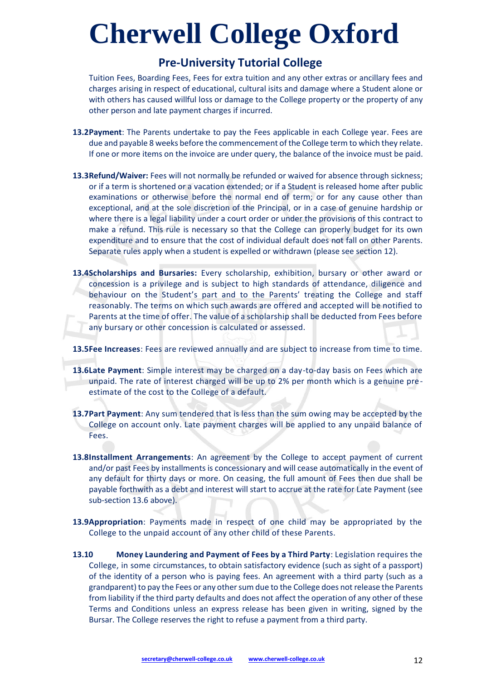### **Pre-University Tutorial College**

Tuition Fees, Boarding Fees, Fees for extra tuition and any other extras or ancillary fees and charges arising in respect of educational, cultural isits and damage where a Student alone or with others has caused willful loss or damage to the College property or the property of any other person and late payment charges if incurred.

- **13.2Payment**: The Parents undertake to pay the Fees applicable in each College year. Fees are due and payable 8 weeks before the commencement of the College term to which they relate. If one or more items on the invoice are under query, the balance of the invoice must be paid.
- **13.3Refund/Waiver:** Fees will not normally be refunded or waived for absence through sickness; or if a term is shortened or a vacation extended; or if a Student is released home after public examinations or otherwise before the normal end of term; or for any cause other than exceptional, and at the sole discretion of the Principal, or in a case of genuine hardship or where there is a legal liability under a court order or under the provisions of this contract to make a refund. This rule is necessary so that the College can properly budget for its own expenditure and to ensure that the cost of individual default does not fall on other Parents. Separate rules apply when a student is expelled or withdrawn (please see section 12).
- **13.4Scholarships and Bursaries:** Every scholarship, exhibition, bursary or other award or concession is a privilege and is subject to high standards of attendance, diligence and behaviour on the Student's part and to the Parents' treating the College and staff reasonably. The terms on which such awards are offered and accepted will be notified to Parents at the time of offer. The value of a scholarship shall be deducted from Fees before any bursary or other concession is calculated or assessed.

**13.5Fee Increases**: Fees are reviewed annually and are subject to increase from time to time.

- **13.6Late Payment**: Simple interest may be charged on a day-to-day basis on Fees which are unpaid. The rate of interest charged will be up to 2% per month which is a genuine preestimate of the cost to the College of a default.
- **13.7Part Payment**: Any sum tendered that is less than the sum owing may be accepted by the College on account only. Late payment charges will be applied to any unpaid balance of Fees.
- **13.8Installment Arrangements**: An agreement by the College to accept payment of current and/or past Fees by installments is concessionary and will cease automatically in the event of any default for thirty days or more. On ceasing, the full amount of Fees then due shall be payable forthwith as a debt and interest will start to accrue at the rate for Late Payment (see sub-section 13.6 above).
- **13.9Appropriation**: Payments made in respect of one child may be appropriated by the College to the unpaid account of any other child of these Parents.
- **13.10 Money Laundering and Payment of Fees by a Third Party**: Legislation requires the College, in some circumstances, to obtain satisfactory evidence (such as sight of a passport) of the identity of a person who is paying fees. An agreement with a third party (such as a grandparent) to pay the Fees or any other sum due to the College does not release the Parents from liability if the third party defaults and does not affect the operation of any other of these Terms and Conditions unless an express release has been given in writing, signed by the Bursar. The College reserves the right to refuse a payment from a third party.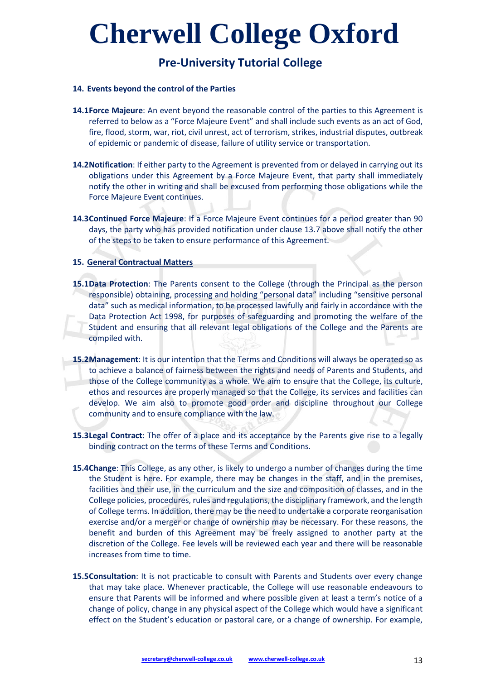## **Pre-University Tutorial College**

#### **14. Events beyond the control of the Parties**

- **14.1Force Majeure**: An event beyond the reasonable control of the parties to this Agreement is referred to below as a "Force Majeure Event" and shall include such events as an act of God, fire, flood, storm, war, riot, civil unrest, act of terrorism, strikes, industrial disputes, outbreak of epidemic or pandemic of disease, failure of utility service or transportation.
- **14.2Notification**: If either party to the Agreement is prevented from or delayed in carrying out its obligations under this Agreement by a Force Majeure Event, that party shall immediately notify the other in writing and shall be excused from performing those obligations while the Force Majeure Event continues.
- **14.3Continued Force Majeure**: If a Force Majeure Event continues for a period greater than 90 days, the party who has provided notification under clause 13.7 above shall notify the other of the steps to be taken to ensure performance of this Agreement.

#### **15. General Contractual Matters**

- **15.1Data Protection**: The Parents consent to the College (through the Principal as the person responsible) obtaining, processing and holding "personal data" including "sensitive personal data" such as medical information, to be processed lawfully and fairly in accordance with the Data Protection Act 1998, for purposes of safeguarding and promoting the welfare of the Student and ensuring that all relevant legal obligations of the College and the Parents are compiled with.
- **15.2Management**: It is our intention that the Terms and Conditions will always be operated so as to achieve a balance of fairness between the rights and needs of Parents and Students, and those of the College community as a whole. We aim to ensure that the College, its culture, ethos and resources are properly managed so that the College, its services and facilities can develop. We aim also to promote good order and discipline throughout our College community and to ensure compliance with the law.
- **15.3Legal Contract**: The offer of a place and its acceptance by the Parents give rise to a legally binding contract on the terms of these Terms and Conditions.
- **15.4Change**: This College, as any other, is likely to undergo a number of changes during the time the Student is here. For example, there may be changes in the staff, and in the premises, facilities and their use, in the curriculum and the size and composition of classes, and in the College policies, procedures, rules and regulations, the disciplinary framework, and the length of College terms. In addition, there may be the need to undertake a corporate reorganisation exercise and/or a merger or change of ownership may be necessary. For these reasons, the benefit and burden of this Agreement may be freely assigned to another party at the discretion of the College. Fee levels will be reviewed each year and there will be reasonable increases from time to time.
- **15.5Consultation**: It is not practicable to consult with Parents and Students over every change that may take place. Whenever practicable, the College will use reasonable endeavours to ensure that Parents will be informed and where possible given at least a term's notice of a change of policy, change in any physical aspect of the College which would have a significant effect on the Student's education or pastoral care, or a change of ownership. For example,